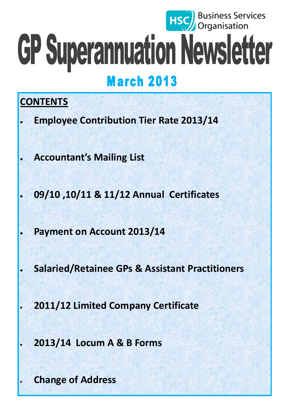# **HSC** Business Services GP Superannuation Newsletter **March 2013**

# **CONTENTS**

- **Employee Contribution Tier Rate 2013/14**
- **Accountant's Mailing List**
- **09/10 ,10/11 & 11/12 Annual Certificates**
- **Payment on Account 2013/14**
- **Salaried/Retainee GPs & Assistant Practitioners**
	- **2011/12 Limited Company Certificate**
		- **2013/14 Locum A & B Forms**

**Change of Address**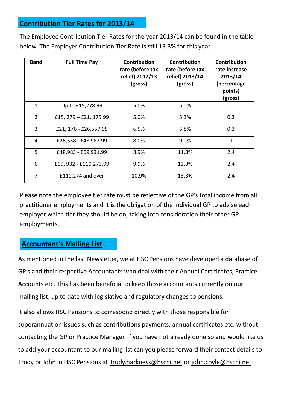#### **Contribution Tier Rates for 2013/14**

The Employee Contribution Tier Rates for the year 2013/14 can be found in the table below. The Employer Contribution Tier Rate is still 13.3% for this year.

| <b>Band</b>    | <b>Full Time Pay</b>      | <b>Contribution</b><br>rate (before tax<br>relief) 2012/13<br>(gross) | <b>Contribution</b><br>rate (before tax<br>relief) 2013/14<br>(gross) | <b>Contribution</b><br>rate increase<br>2013/14<br>(percentage<br>points)<br>(gross) |
|----------------|---------------------------|-----------------------------------------------------------------------|-----------------------------------------------------------------------|--------------------------------------------------------------------------------------|
| 1              | Up to £15,278.99          | 5.0%                                                                  | 5.0%                                                                  | O                                                                                    |
| $\overline{2}$ | £15, $279 - E21$ , 175.99 | 5.0%                                                                  | 5.3%                                                                  | 0.3                                                                                  |
| 3              | £21, 176 - £26,557.99     | 6.5%                                                                  | 6.8%                                                                  | 0.3                                                                                  |
| 4              | £26,558 - £48,982.99      | 8.0%                                                                  | 9.0%                                                                  | 1                                                                                    |
| 5              | £48,983 - £69,931.99      | 8.9%                                                                  | 11.3%                                                                 | 2.4                                                                                  |
| 6              | £69, 932 - £110, 273.99   | 9.9%                                                                  | 12.3%                                                                 | 2.4                                                                                  |
| $\overline{7}$ | £110,274 and over         | 10.9%                                                                 | 13.3%                                                                 | 2.4                                                                                  |

Please note the employee tier rate must be reflective of the GP's total income from all practitioner employments and it is the obligation of the individual GP to advise each employer which tier they should be on, taking into consideration their other GP employments.

#### **Accountant's Mailing List**

As mentioned in the last Newsletter, we at HSC Pensions have developed a database of GP's and their respective Accountants who deal with their Annual Certificates, Practice Accounts etc. This has been beneficial to keep those accountants currently on our mailing list, up to date with legislative and regulatory changes to pensions.

It also allows HSC Pensions to correspond directly with those responsible for superannuation issues such as contributions payments, annual certificates etc. without contacting the GP or Practice Manager. If you have not already done so and would like us to add your accountant to our mailing list can you please forward their contact details to Trudy or John in HSC Pensions at [Trudy.harkness@hscni.net](mailto:Trudy.harkness@hscni.net) or [john.coyle@hscni.net.](mailto:john.coyle@hscni.net)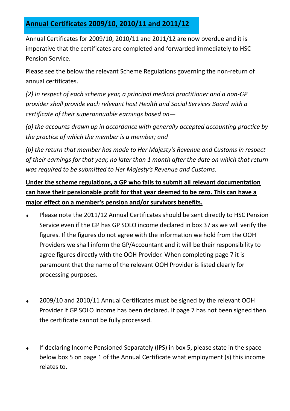# **Annual Certificates 2009/10, 2010/11 and 2011/12**

Annual Certificates for 2009/10, 2010/11 and 2011/12 are now overdue and it is imperative that the certificates are completed and forwarded immediately to HSC Pension Service.

Please see the below the relevant Scheme Regulations governing the non-return of annual certificates.

*(2) In respect of each scheme year, a principal medical practitioner and a non-GP provider shall provide each relevant host Health and Social Services Board with a certificate of their superannuable earnings based on—*

*(a) the accounts drawn up in accordance with generally accepted accounting practice by the practice of which the member is a member; and*

*(b) the return that member has made to Her Majesty's Revenue and Customs in respect of their earnings for that year, no later than 1 month after the date on which that return was required to be submitted to Her Majesty's Revenue and Customs.*

### **Under the scheme regulations, a GP who fails to submit all relevant documentation can have their pensionable profit for that year deemed to be zero. This can have a major effect on a member's pension and/or survivors benefits.**

- Please note the 2011/12 Annual Certificates should be sent directly to HSC Pension Service even if the GP has GP SOLO income declared in box 37 as we will verify the figures. If the figures do not agree with the information we hold from the OOH Providers we shall inform the GP/Accountant and it will be their responsibility to agree figures directly with the OOH Provider. When completing page 7 it is paramount that the name of the relevant OOH Provider is listed clearly for processing purposes.
- 2009/10 and 2010/11 Annual Certificates must be signed by the relevant OOH Provider if GP SOLO income has been declared. If page 7 has not been signed then the certificate cannot be fully processed.
- If declaring Income Pensioned Separately (IPS) in box 5, please state in the space  $\blacklozenge$ below box 5 on page 1 of the Annual Certificate what employment (s) this income relates to.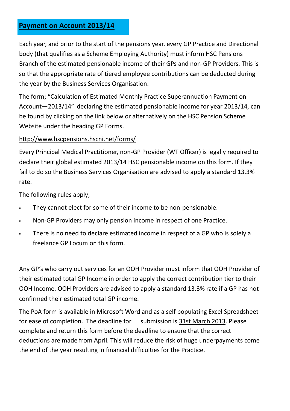#### **Payment on Account 2013/14**

Each year, and prior to the start of the pensions year, every GP Practice and Directional body (that qualifies as a Scheme Employing Authority) must inform HSC Pensions Branch of the estimated pensionable income of their GPs and non-GP Providers. This is so that the appropriate rate of tiered employee contributions can be deducted during the year by the Business Services Organisation.

The form; "Calculation of Estimated Monthly Practice Superannuation Payment on Account-2013/14" declaring the estimated pensionable income for year 2013/14, can be found by clicking on the link below or alternatively on the HSC Pension Scheme Website under the heading GP Forms.

#### [http://www.hscpensions.hscni.net/forms/](http://www.hscpensions.hscni.net/forms)

Every Principal Medical Practitioner, non-GP Provider (WT Officer) is legally required to declare their global estimated 2013/14 HSC pensionable income on this form. If they fail to do so the Business Services Organisation are advised to apply a standard 13.3% rate.

The following rules apply;

- They cannot elect for some of their income to be non-pensionable.  $\ast$
- Non-GP Providers may only pension income in respect of one Practice.  $\ast$
- There is no need to declare estimated income in respect of a GP who is solely a  $\ast$ freelance GP Locum on this form.

Any GP's who carry out services for an OOH Provider must inform that OOH Provider of their estimated total GP Income in order to apply the correct contribution tier to their OOH Income. OOH Providers are advised to apply a standard 13.3% rate if a GP has not confirmed their estimated total GP income.

The PoA form is available in Microsoft Word and as a self populating Excel Spreadsheet for ease of completion. The deadline for submission is 31st March 2013. Please complete and return this form before the deadline to ensure that the correct deductions are made from April. This will reduce the risk of huge underpayments come the end of the year resulting in financial difficulties for the Practice.